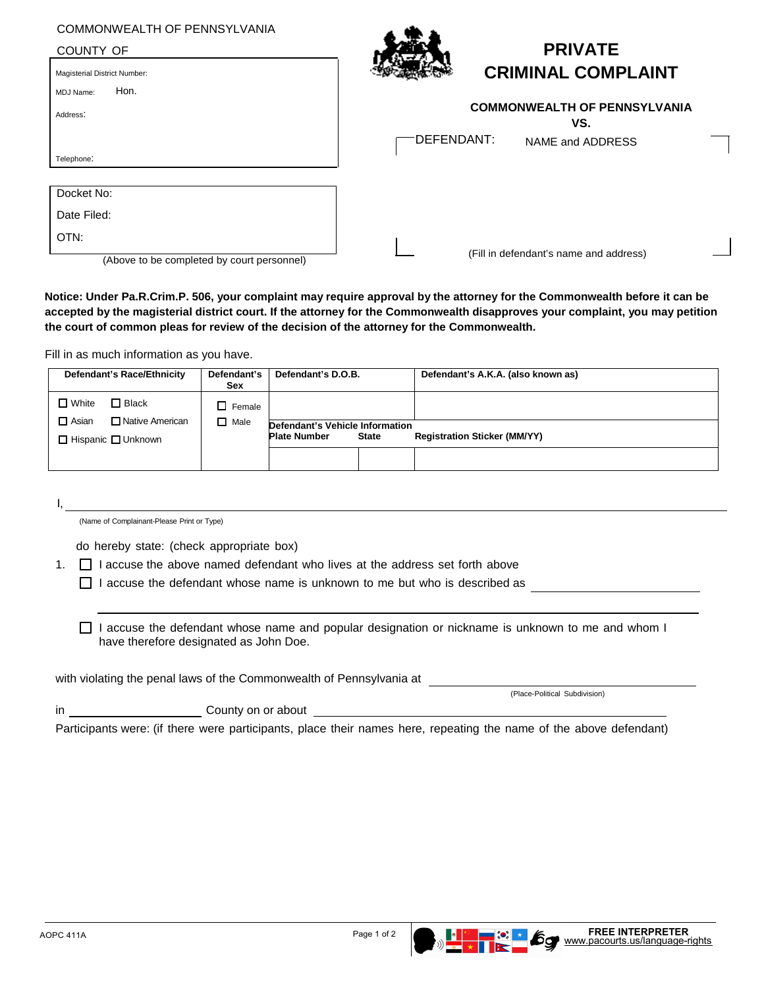## COMMONWEALTH OF PENNSYLVANIA

COUNTY OF Magisterial District Number:



## **PRIVATE CRIMINAL COMPLAINT**

| $\tilde{\phantom{a}}$                      |                                            |
|--------------------------------------------|--------------------------------------------|
| Hon.<br>MDJ Name:                          |                                            |
| Address:                                   | <b>COMMONWEALTH OF PENNSYLVANIA</b><br>VS. |
|                                            | DEFENDANT:<br>NAME and ADDRESS             |
| Telephone:                                 |                                            |
|                                            |                                            |
| Docket No:                                 |                                            |
| Date Filed:                                |                                            |
| OTN:                                       |                                            |
| (Above to be completed by court personnel) | (Fill in defendant's name and address)     |

**Notice: Under Pa.R.Crim.P. 506, your complaint may require approval by the attorney for the Commonwealth before it can be accepted by the magisterial district court. If the attorney for the Commonwealth disapproves your complaint, you may petition the court of common pleas for review of the decision of the attorney for the Commonwealth.**

Fill in as much information as you have.

| Defendant's Race/Ethnicity        | Defendant's<br>Sex | Defendant's D.O.B.              |              | Defendant's A.K.A. (also known as)  |
|-----------------------------------|--------------------|---------------------------------|--------------|-------------------------------------|
| $\Box$ White<br>$\Box$ Black      | $\Box$ Female      |                                 |              |                                     |
| □ Native American<br>$\Box$ Asian | $\Box$ Male        | Defendant's Vehicle Information |              |                                     |
| $\Box$ Hispanic $\Box$ Unknown    |                    | <b>Plate Number</b>             | <b>State</b> | <b>Registration Sticker (MM/YY)</b> |
|                                   |                    |                                 |              |                                     |

I,

(Name of Complainant-Please Print or Type)

do hereby state: (check appropriate box)

1.  $\Box$  I accuse the above named defendant who lives at the address set forth above

 $\Box$  I accuse the defendant whose name is unknown to me but who is described as

 $\Box$  I accuse the defendant whose name and popular designation or nickname is unknown to me and whom I have therefore designated as John Doe.

with violating the penal laws of the Commonwealth of Pennsylvania at

in County on or about

(Place-Political Subdivision)

Participants were: (if there were participants, place their names here, repeating the name of the above defendant)





**THE SET OF ST**